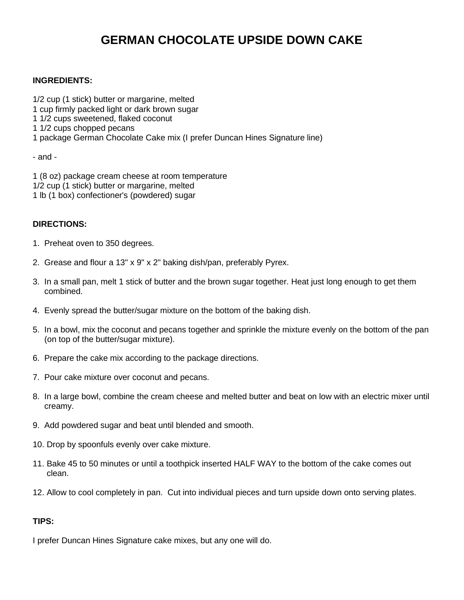## **GERMAN CHOCOLATE UPSIDE DOWN CAKE**

## **INGREDIENTS:**

1/2 cup (1 stick) butter or margarine, melted 1 cup firmly packed light or dark brown sugar 1 1/2 cups sweetened, flaked coconut 1 1/2 cups chopped pecans 1 package German Chocolate Cake mix (I prefer Duncan Hines Signature line)

- and -

1 (8 oz) package cream cheese at room temperature 1/2 cup (1 stick) butter or margarine, melted 1 lb (1 box) confectioner's (powdered) sugar

## **DIRECTIONS:**

- 1. Preheat oven to 350 degrees.
- 2. Grease and flour a 13" x 9" x 2" baking dish/pan, preferably Pyrex.
- 3. In a small pan, melt 1 stick of butter and the brown sugar together. Heat just long enough to get them combined.
- 4. Evenly spread the butter/sugar mixture on the bottom of the baking dish.
- 5. In a bowl, mix the coconut and pecans together and sprinkle the mixture evenly on the bottom of the pan (on top of the butter/sugar mixture).
- 6. Prepare the cake mix according to the package directions.
- 7. Pour cake mixture over coconut and pecans.
- 8. In a large bowl, combine the cream cheese and melted butter and beat on low with an electric mixer until creamy.
- 9. Add powdered sugar and beat until blended and smooth.
- 10. Drop by spoonfuls evenly over cake mixture.
- 11. Bake 45 to 50 minutes or until a toothpick inserted HALF WAY to the bottom of the cake comes out clean.
- 12. Allow to cool completely in pan. Cut into individual pieces and turn upside down onto serving plates.

## **TIPS:**

I prefer Duncan Hines Signature cake mixes, but any one will do.